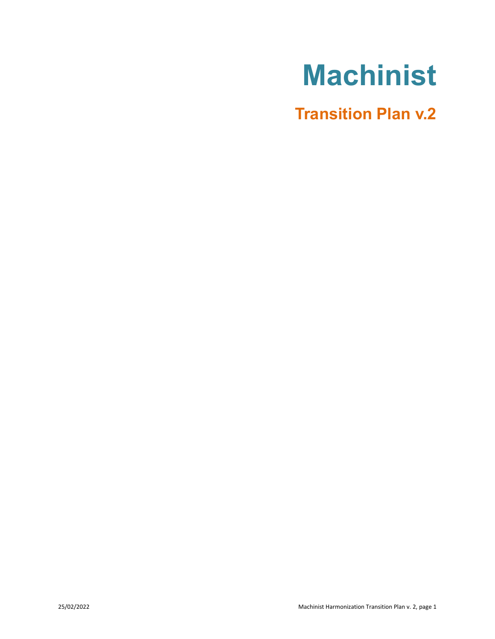# **Machinist**

**Transition Plan v.2**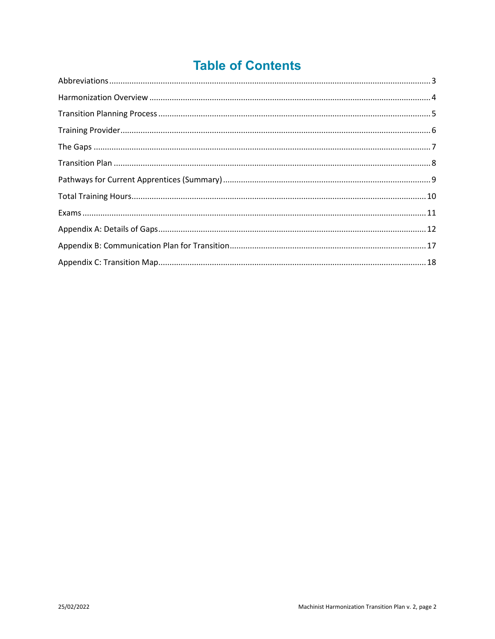## **Table of Contents**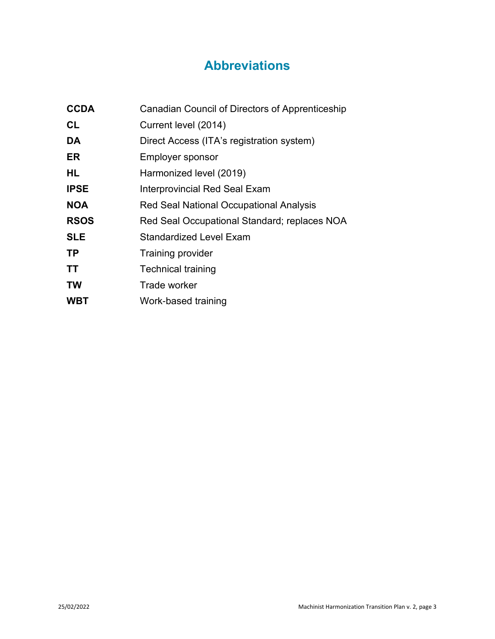## **Abbreviations**

<span id="page-2-0"></span>

| <b>CCDA</b> | Canadian Council of Directors of Apprenticeship |
|-------------|-------------------------------------------------|
| <b>CL</b>   | Current level (2014)                            |
| DA          | Direct Access (ITA's registration system)       |
| ER          | <b>Employer sponsor</b>                         |
| HL          | Harmonized level (2019)                         |
| <b>IPSE</b> | Interprovincial Red Seal Exam                   |
| <b>NOA</b>  | <b>Red Seal National Occupational Analysis</b>  |
| <b>RSOS</b> | Red Seal Occupational Standard; replaces NOA    |
| <b>SLE</b>  | Standardized Level Exam                         |
| <b>TP</b>   | <b>Training provider</b>                        |
| <b>TT</b>   | <b>Technical training</b>                       |
| <b>TW</b>   | Trade worker                                    |
| <b>WBT</b>  | Work-based training                             |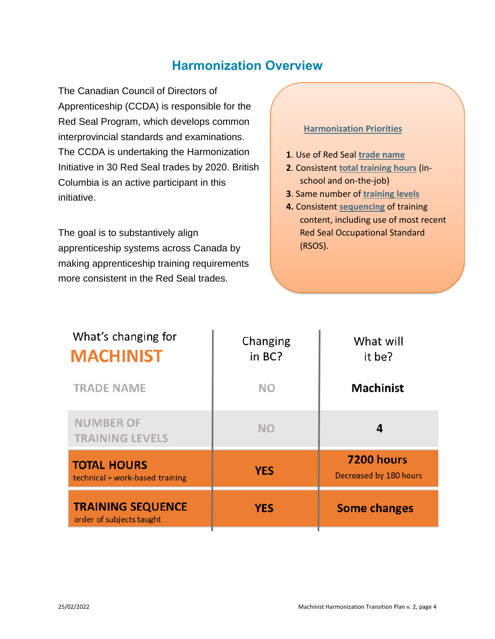### **Harmonization Overview**

<span id="page-3-0"></span>The Canadian Council of Directors of Apprenticeship (CCDA) is responsible for the Red Seal Program, which develops common interprovincial standards and examinations. The CCDA is undertaking the Harmonization Initiative in 30 Red Seal trades by 2020. British Columbia is an active participant in this initiative.

The goal is to substantively align apprenticeship systems across Canada by making apprenticeship training requirements more consistent in the Red Seal trades.

#### **Harmonization Priorities**

- **1**. Use of Red Seal **trade name**
- **2**. Consistent **total training hours** (inschool and on-the-job)
- **3**. Same number of **training levels**
- **4.** Consistent **sequencing** of training content, including use of most recent Red Seal Occupational Standard (RSOS).

| What's changing for<br><b>MACHINIST</b>               | Changing<br>in BC? | What will<br>it be?                  |
|-------------------------------------------------------|--------------------|--------------------------------------|
| <b>TRADE NAME</b>                                     | <b>NO</b>          | <b>Machinist</b>                     |
| <b>NUMBER OF</b><br><b>TRAINING LEVELS</b>            | <b>NO</b>          | 4                                    |
| <b>TOTAL HOURS</b><br>technical + work-based training | <b>YES</b>         | 7200 hours<br>Decreased by 180 hours |
| <b>TRAINING SEQUENCE</b><br>order of subjects taught  | <b>YES</b>         | <b>Some changes</b>                  |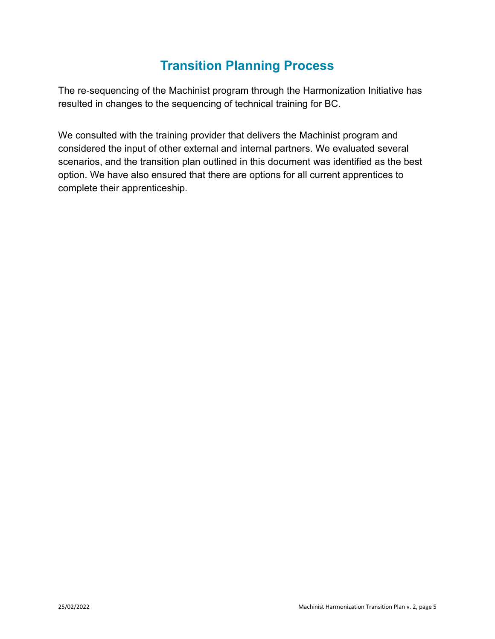## **Transition Planning Process**

<span id="page-4-0"></span>The re-sequencing of the Machinist program through the Harmonization Initiative has resulted in changes to the sequencing of technical training for BC.

We consulted with the training provider that delivers the Machinist program and considered the input of other external and internal partners. We evaluated several scenarios, and the transition plan outlined in this document was identified as the best option. We have also ensured that there are options for all current apprentices to complete their apprenticeship.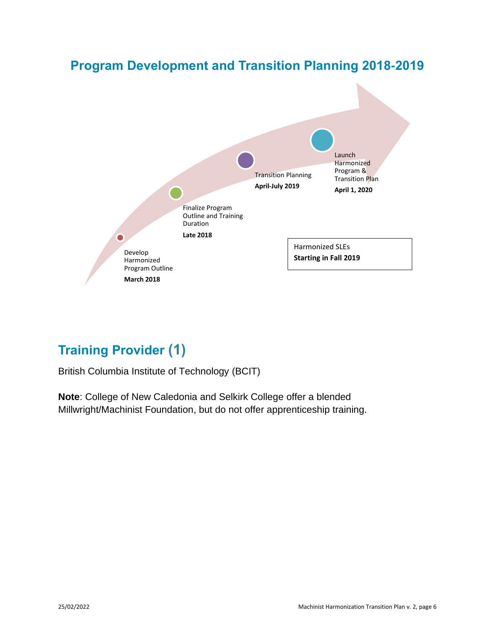

## <span id="page-5-0"></span>**Training Provider (1)**

British Columbia Institute of Technology (BCIT)

**Note**: College of New Caledonia and Selkirk College offer a blended Millwright/Machinist Foundation, but do not offer apprenticeship training.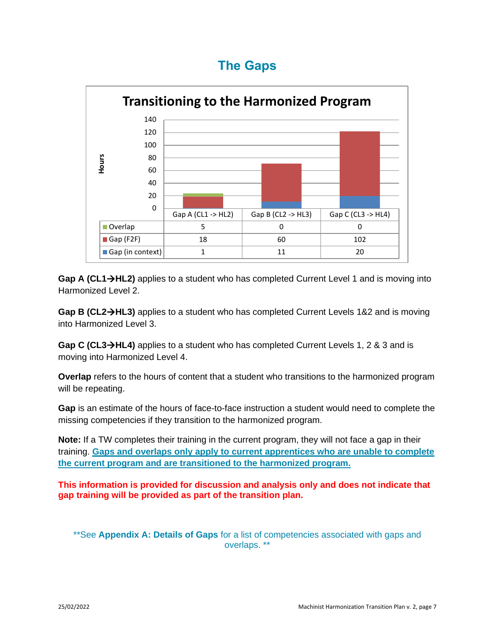## **The Gaps**

<span id="page-6-0"></span>

Gap A (CL1→HL2) applies to a student who has completed Current Level 1 and is moving into Harmonized Level 2.

**Gap B (CL2**→**HL3)** applies to a student who has completed Current Levels 1&2 and is moving into Harmonized Level 3.

**Gap C (CL3**→**HL4)** applies to a student who has completed Current Levels 1, 2 & 3 and is moving into Harmonized Level 4.

**Overlap** refers to the hours of content that a student who transitions to the harmonized program will be repeating.

**Gap** is an estimate of the hours of face-to-face instruction a student would need to complete the missing competencies if they transition to the harmonized program.

**Note:** If a TW completes their training in the current program, they will not face a gap in their training. **Gaps and overlaps only apply to current apprentices who are unable to complete the current program and are transitioned to the harmonized program.**

**This information is provided for discussion and analysis only and does not indicate that gap training will be provided as part of the transition plan.**

\*\*See **Appendix A: Details of Gaps** for a list of competencies associated with gaps and overlaps. \*\*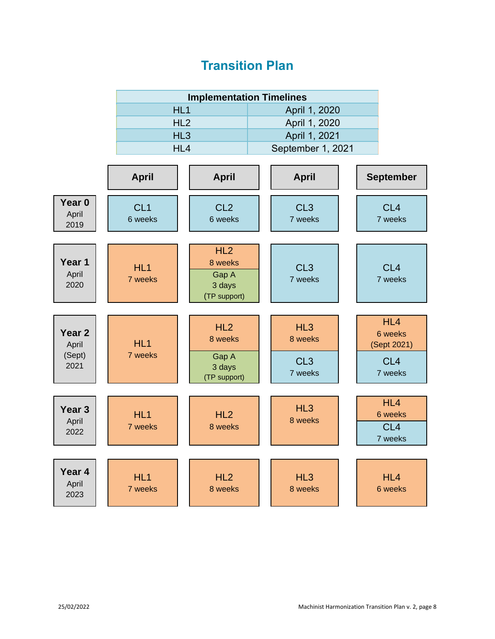## **Transition Plan**

<span id="page-7-0"></span>

|                                    |                            | <b>Implementation Timelines</b>                   |  |                            |  |                                              |
|------------------------------------|----------------------------|---------------------------------------------------|--|----------------------------|--|----------------------------------------------|
|                                    | HL1                        |                                                   |  | April 1, 2020              |  |                                              |
|                                    | HL <sub>2</sub>            |                                                   |  | April 1, 2020              |  |                                              |
|                                    | HL <sub>3</sub>            |                                                   |  | April 1, 2021              |  |                                              |
|                                    | HL4                        |                                                   |  | September 1, 2021          |  |                                              |
|                                    |                            |                                                   |  |                            |  |                                              |
|                                    | <b>April</b>               | <b>April</b>                                      |  | <b>April</b>               |  | <b>September</b>                             |
| Year <sub>0</sub><br>April<br>2019 | CL <sub>1</sub><br>6 weeks | CL <sub>2</sub><br>6 weeks                        |  | CL <sub>3</sub><br>7 weeks |  | CL <sub>4</sub><br>7 weeks                   |
| Year 1<br>April<br>2020            | HL1<br>7 weeks             | HL2<br>8 weeks<br>Gap A<br>3 days<br>(TP support) |  | CL <sub>3</sub><br>7 weeks |  | CL <sub>4</sub><br>7 weeks                   |
|                                    |                            |                                                   |  |                            |  |                                              |
| Year <sub>2</sub><br>April         | HL <sub>1</sub>            | HL2<br>8 weeks                                    |  | HL3<br>8 weeks             |  | HL4<br>6 weeks<br>(Sept 2021)                |
| (Sept)<br>2021                     | 7 weeks                    | Gap A<br>3 days<br>(TP support)                   |  | CL <sub>3</sub><br>7 weeks |  | CL <sub>4</sub><br>7 weeks                   |
|                                    |                            |                                                   |  |                            |  |                                              |
| Year <sub>3</sub><br>April<br>2022 | HL1<br>7 weeks             | HL2<br>8 weeks                                    |  | HL3<br>8 weeks             |  | HL4<br>6 weeks<br>CL <sub>4</sub><br>7 weeks |
|                                    |                            |                                                   |  |                            |  |                                              |
| Year <sub>4</sub><br>April<br>2023 | HL <sub>1</sub><br>7 weeks | HL2<br>8 weeks                                    |  | HL <sub>3</sub><br>8 weeks |  | HL4<br>6 weeks                               |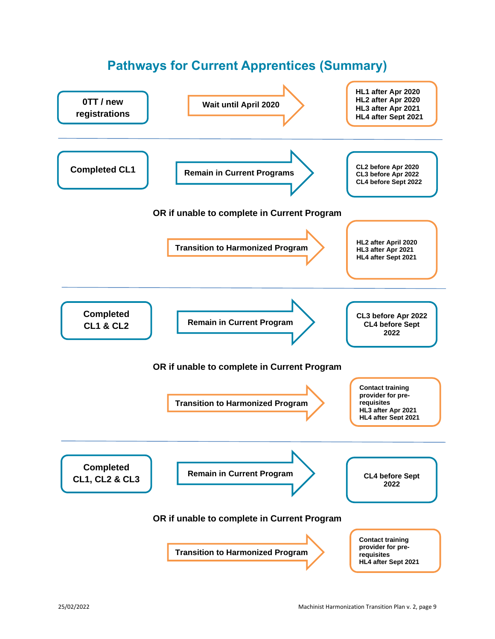<span id="page-8-0"></span>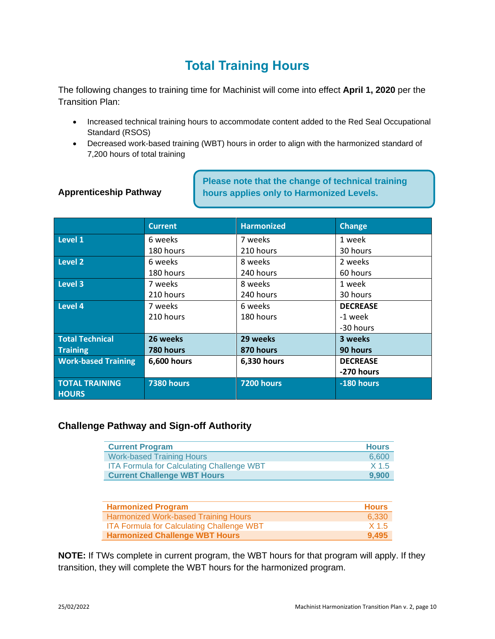## **Total Training Hours**

<span id="page-9-0"></span>The following changes to training time for Machinist will come into effect **April 1, 2020** per the Transition Plan:

- Increased technical training hours to accommodate content added to the Red Seal Occupational Standard (RSOS)
- Decreased work-based training (WBT) hours in order to align with the harmonized standard of 7,200 hours of total training

#### **Apprenticeship Pathway**

**Please note that the change of technical training hours applies only to Harmonized Levels.** 

|                            | <b>Current</b>    | <b>Harmonized</b> | <b>Change</b>   |
|----------------------------|-------------------|-------------------|-----------------|
| Level 1                    | 6 weeks           | 7 weeks           | 1 week          |
|                            | 180 hours         | 210 hours         | 30 hours        |
| Level 2                    | 6 weeks           | 8 weeks           | 2 weeks         |
|                            | 180 hours         | 240 hours         | 60 hours        |
| Level 3                    | 7 weeks           | 8 weeks           | 1 week          |
|                            | 210 hours         | 240 hours         | 30 hours        |
| Level 4                    | 7 weeks           | 6 weeks           | <b>DECREASE</b> |
|                            | 210 hours         | 180 hours         | -1 week         |
|                            |                   |                   | -30 hours       |
| <b>Total Technical</b>     | 26 weeks          | 29 weeks          | 3 weeks         |
| <b>Training</b>            | 780 hours         | 870 hours         | 90 hours        |
| <b>Work-based Training</b> | 6,600 hours       | 6,330 hours       | <b>DECREASE</b> |
|                            |                   |                   | -270 hours      |
| <b>TOTAL TRAINING</b>      | <b>7380 hours</b> | <b>7200 hours</b> | -180 hours      |
| <b>HOURS</b>               |                   |                   |                 |

#### **Challenge Pathway and Sign-off Authority**

| <b>Current Program</b>                           | <b>Hours</b> |
|--------------------------------------------------|--------------|
| <b>Work-based Training Hours</b>                 | 6.600        |
| <b>ITA Formula for Calculating Challenge WBT</b> | X 1.5        |
| <b>Current Challenge WBT Hours</b>               | 9.900        |

| <b>Harmonized Program</b>                 | <b>Hours</b> |
|-------------------------------------------|--------------|
| Harmonized Work-based Training Hours      | 6.330        |
| ITA Formula for Calculating Challenge WBT | X 1.5        |
| <b>Harmonized Challenge WBT Hours</b>     | 9.495        |

**NOTE:** If TWs complete in current program, the WBT hours for that program will apply. If they transition, they will complete the WBT hours for the harmonized program.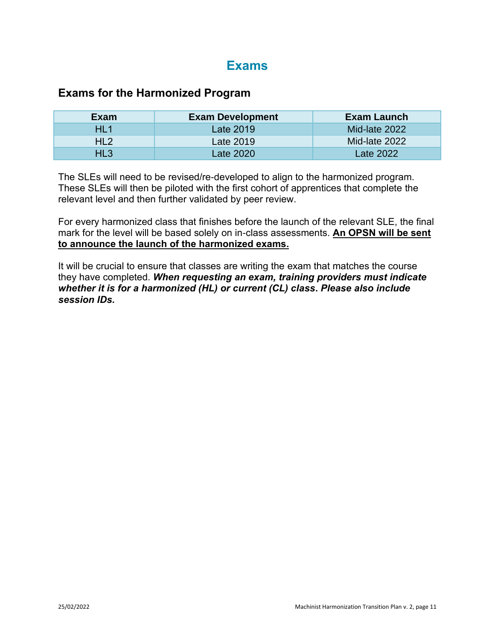## **Exams**

#### <span id="page-10-0"></span>**Exams for the Harmonized Program**

| Exam            | <b>Exam Development</b> | Exam Launch   |
|-----------------|-------------------------|---------------|
| HL1             | Late 2019               | Mid-late 2022 |
| HL <sub>2</sub> | Late 2019               | Mid-late 2022 |
| HL3             | Late 2020               | Late 2022     |

The SLEs will need to be revised/re-developed to align to the harmonized program. These SLEs will then be piloted with the first cohort of apprentices that complete the relevant level and then further validated by peer review.

For every harmonized class that finishes before the launch of the relevant SLE, the final mark for the level will be based solely on in-class assessments. **An OPSN will be sent to announce the launch of the harmonized exams.**

It will be crucial to ensure that classes are writing the exam that matches the course they have completed. *When requesting an exam, training providers must indicate whether it is for a harmonized (HL) or current (CL) class***.** *Please also include session IDs.*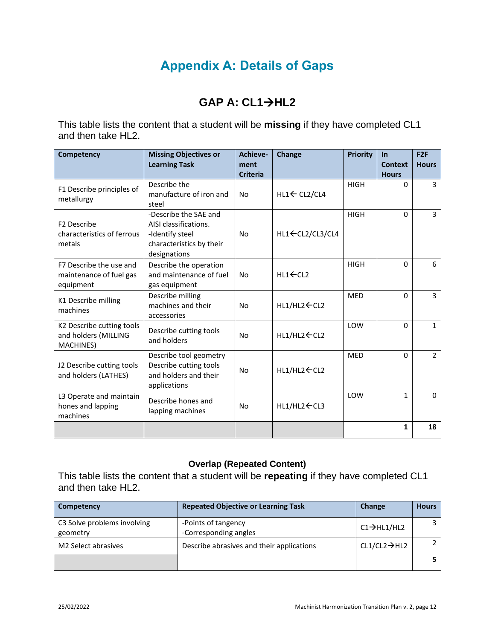## **Appendix A: Details of Gaps**

#### **GAP A: CL1**→**HL2**

<span id="page-11-0"></span>This table lists the content that a student will be **missing** if they have completed CL1 and then take HL2.

| Competency                                                      | <b>Missing Objectives or</b><br><b>Learning Task</b>                                                          | Achieve-<br>ment<br><b>Criteria</b> | Change                     | <b>Priority</b> | $\ln$<br>Context<br><b>Hours</b> | F2F<br><b>Hours</b> |
|-----------------------------------------------------------------|---------------------------------------------------------------------------------------------------------------|-------------------------------------|----------------------------|-----------------|----------------------------------|---------------------|
| F1 Describe principles of<br>metallurgy                         | Describe the<br>manufacture of iron and<br>steel                                                              | <b>No</b>                           | $HL1 \leftarrow CL2/CL4$   | <b>HIGH</b>     | $\Omega$                         | 3                   |
| F <sub>2</sub> Describe<br>characteristics of ferrous<br>metals | -Describe the SAE and<br>AISI classifications.<br>-Identify steel<br>characteristics by their<br>designations | No                                  | HL1 ← CL2/CL3/CL4          | <b>HIGH</b>     | $\Omega$                         | 3                   |
| F7 Describe the use and<br>maintenance of fuel gas<br>equipment | Describe the operation<br>and maintenance of fuel<br>gas equipment                                            | <b>No</b>                           | $HL1 \leftarrow CL2$       | <b>HIGH</b>     | $\Omega$                         | 6                   |
| K1 Describe milling<br>machines                                 | Describe milling<br>machines and their<br>accessories                                                         | <b>No</b>                           | HL1/HL2 ← CL2              | <b>MED</b>      | $\Omega$                         | 3                   |
| K2 Describe cutting tools<br>and holders (MILLING<br>MACHINES)  | Describe cutting tools<br>and holders                                                                         | <b>No</b>                           | $HL1/HL2$ $\leftarrow$ CL2 | LOW             | $\Omega$                         | $\mathbf{1}$        |
| J2 Describe cutting tools<br>and holders (LATHES)               | Describe tool geometry<br>Describe cutting tools<br>and holders and their<br>applications                     | <b>No</b>                           | $HL1/HL2$ $\leftarrow$ CL2 | <b>MED</b>      | $\Omega$                         | $\overline{2}$      |
| L3 Operate and maintain<br>hones and lapping<br>machines        | Describe hones and<br>lapping machines                                                                        | No                                  | $HL1/HL2 \leftarrow CL3$   | LOW             | $\mathbf{1}$                     | $\Omega$            |
|                                                                 |                                                                                                               |                                     |                            |                 | 1                                | 18                  |

#### **Overlap (Repeated Content)**

This table lists the content that a student will be **repeating** if they have completed CL1 and then take HL2.

| Competency                              | <b>Repeated Objective or Learning Task</b>   | Change                    | <b>Hours</b> |
|-----------------------------------------|----------------------------------------------|---------------------------|--------------|
| C3 Solve problems involving<br>geometry | -Points of tangency<br>-Corresponding angles | $C1 \rightarrow H1/H12$   |              |
| M <sub>2</sub> Select abrasives         | Describe abrasives and their applications    | $CL1/CL2 \rightarrow H12$ |              |
|                                         |                                              |                           |              |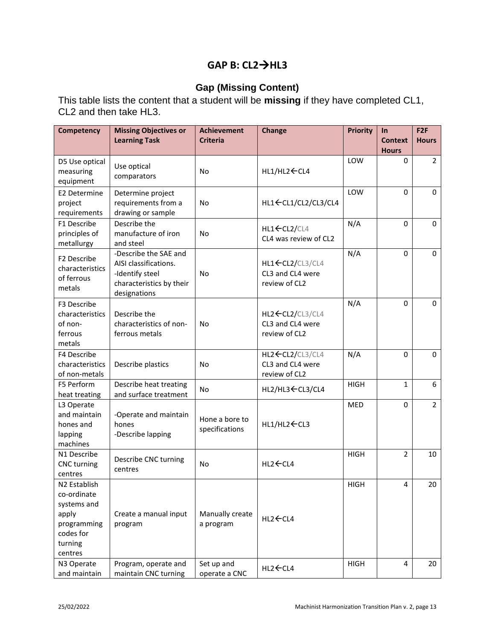#### **GAP B: CL2**→**HL3**

#### **Gap (Missing Content)**

This table lists the content that a student will be **missing** if they have completed CL1, CL2 and then take HL3.

| <b>Competency</b>                                                                                     | <b>Missing Objectives or</b><br><b>Learning Task</b>                                                          | <b>Achievement</b><br><b>Criteria</b> | <b>Change</b>                                          | <b>Priority</b> | In<br><b>Context</b><br><b>Hours</b> | F <sub>2F</sub><br><b>Hours</b> |
|-------------------------------------------------------------------------------------------------------|---------------------------------------------------------------------------------------------------------------|---------------------------------------|--------------------------------------------------------|-----------------|--------------------------------------|---------------------------------|
| D5 Use optical<br>measuring<br>equipment                                                              | Use optical<br>comparators                                                                                    | <b>No</b>                             | HL1/HL2 ← CL4                                          | LOW             | 0                                    | $\overline{2}$                  |
| E2 Determine<br>project<br>requirements                                                               | Determine project<br>requirements from a<br>drawing or sample                                                 | <b>No</b>                             | HL1 ← CL1/CL2/CL3/CL4                                  | LOW             | $\Omega$                             | 0                               |
| F1 Describe<br>principles of<br>metallurgy                                                            | Describe the<br>manufacture of iron<br>and steel                                                              | <b>No</b>                             | HL1←CL2/CL4<br>CL4 was review of CL2                   | N/A             | 0                                    | 0                               |
| F2 Describe<br>characteristics<br>of ferrous<br>metals                                                | -Describe the SAE and<br>AISI classifications.<br>-Identify steel<br>characteristics by their<br>designations | <b>No</b>                             | HL1 CL2/CL3/CL4<br>CL3 and CL4 were<br>review of CL2   | N/A             | 0                                    | $\Omega$                        |
| F3 Describe<br>characteristics<br>of non-<br>ferrous<br>metals                                        | Describe the<br>characteristics of non-<br>ferrous metals                                                     | <b>No</b>                             | HL2 ← CL2/CL3/CL4<br>CL3 and CL4 were<br>review of CL2 | N/A             | 0                                    | $\Omega$                        |
| F4 Describe<br>characteristics<br>of non-metals                                                       | Describe plastics                                                                                             | <b>No</b>                             | HL2 ← CL2/CL3/CL4<br>CL3 and CL4 were<br>review of CL2 | N/A             | $\mathbf 0$                          | 0                               |
| F5 Perform<br>heat treating                                                                           | Describe heat treating<br>and surface treatment                                                               | <b>No</b>                             | HL2/HL3 ← CL3/CL4                                      | <b>HIGH</b>     | 1                                    | 6                               |
| L3 Operate<br>and maintain<br>hones and<br>lapping<br>machines                                        | -Operate and maintain<br>hones<br>-Describe lapping                                                           | Hone a bore to<br>specifications      | HL1/HL2 ← CL3                                          | <b>MED</b>      | 0                                    | $\overline{2}$                  |
| N1 Describe<br><b>CNC</b> turning<br>centres                                                          | Describe CNC turning<br>centres                                                                               | <b>No</b>                             | HL2 ← CL4                                              | <b>HIGH</b>     | 2                                    | 10                              |
| N2 Establish<br>co-ordinate<br>systems and<br>apply<br>programming<br>codes for<br>turning<br>centres | Create a manual input<br>program                                                                              | Manually create<br>a program          | HL2 ← CL4                                              | <b>HIGH</b>     | 4                                    | 20                              |
| N3 Operate<br>and maintain                                                                            | Program, operate and<br>maintain CNC turning                                                                  | Set up and<br>operate a CNC           | $HL2$ $\leftarrow$ CL4                                 | <b>HIGH</b>     | 4                                    | 20                              |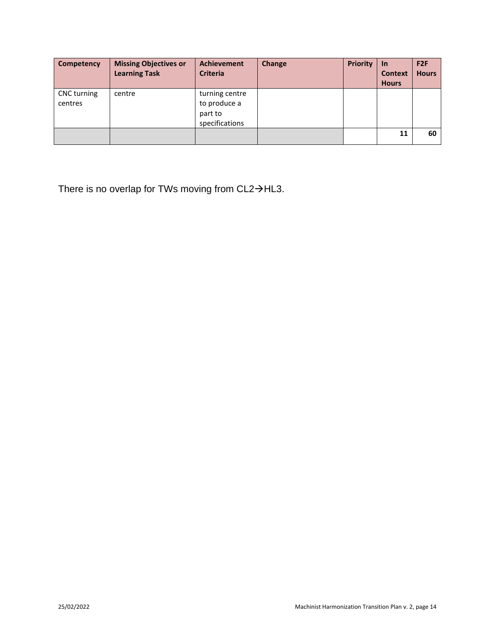| Competency             | <b>Missing Objectives or</b><br><b>Learning Task</b> | <b>Achievement</b><br><b>Criteria</b>                       | Change | <b>Priority</b> | $\ln$<br><b>Context</b><br><b>Hours</b> | F <sub>2F</sub><br><b>Hours</b> |
|------------------------|------------------------------------------------------|-------------------------------------------------------------|--------|-----------------|-----------------------------------------|---------------------------------|
| CNC turning<br>centres | centre                                               | turning centre<br>to produce a<br>part to<br>specifications |        |                 |                                         |                                 |
|                        |                                                      |                                                             |        |                 | 11                                      | 60                              |

There is no overlap for TWs moving from CL2→HL3.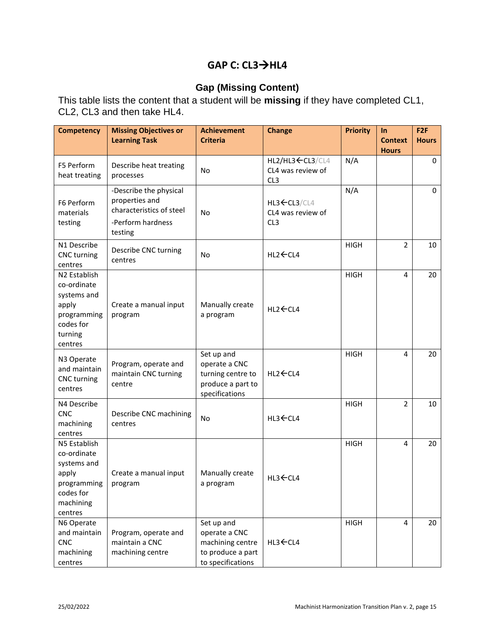#### **GAP C: CL3**→**HL4**

#### **Gap (Missing Content)**

This table lists the content that a student will be **missing** if they have completed CL1, CL2, CL3 and then take HL4.

| <b>Competency</b>                                                                                       | <b>Missing Objectives or</b><br><b>Learning Task</b>                                                 | <b>Achievement</b><br><b>Criteria</b>                                                     | <b>Change</b>                                                     | <b>Priority</b> | $\ln$<br><b>Context</b> | F2F<br><b>Hours</b> |
|---------------------------------------------------------------------------------------------------------|------------------------------------------------------------------------------------------------------|-------------------------------------------------------------------------------------------|-------------------------------------------------------------------|-----------------|-------------------------|---------------------|
|                                                                                                         |                                                                                                      |                                                                                           |                                                                   |                 | <b>Hours</b>            |                     |
| F5 Perform<br>heat treating                                                                             | Describe heat treating<br>processes                                                                  | <b>No</b>                                                                                 | HL2/HL3 <cl3 cl4<br="">CL4 was review of<br/>CL<sub>3</sub></cl3> | N/A             |                         | 0                   |
| F6 Perform<br>materials<br>testing                                                                      | -Describe the physical<br>properties and<br>characteristics of steel<br>-Perform hardness<br>testing | <b>No</b>                                                                                 | $HL3-CL3/CL4$<br>CL4 was review of<br>CL <sub>3</sub>             | N/A             |                         | 0                   |
| N1 Describe<br><b>CNC</b> turning<br>centres                                                            | Describe CNC turning<br>centres                                                                      | <b>No</b>                                                                                 | HL2 ← CL4                                                         | <b>HIGH</b>     | $\overline{2}$          | 10                  |
| N2 Establish<br>co-ordinate<br>systems and<br>apply<br>programming<br>codes for<br>turning<br>centres   | Create a manual input<br>program                                                                     | Manually create<br>a program                                                              | HL2 ← CL4                                                         | <b>HIGH</b>     | $\overline{4}$          | 20                  |
| N3 Operate<br>and maintain<br><b>CNC</b> turning<br>centres                                             | Program, operate and<br>maintain CNC turning<br>centre                                               | Set up and<br>operate a CNC<br>turning centre to<br>produce a part to<br>specifications   | $HL2$ $\leftarrow$ CL4                                            | <b>HIGH</b>     | 4                       | 20                  |
| N4 Describe<br><b>CNC</b><br>machining<br>centres                                                       | Describe CNC machining<br>centres                                                                    | No                                                                                        | HL3 ← CL4                                                         | <b>HIGH</b>     | $\overline{2}$          | 10                  |
| N5 Establish<br>co-ordinate<br>systems and<br>apply<br>programming<br>codes for<br>machining<br>centres | Create a manual input<br>program                                                                     | Manually create<br>a program                                                              | HL3 ← CL4                                                         | <b>HIGH</b>     | 4                       | 20                  |
| N6 Operate<br>and maintain<br><b>CNC</b><br>machining<br>centres                                        | Program, operate and<br>maintain a CNC<br>machining centre                                           | Set up and<br>operate a CNC<br>machining centre<br>to produce a part<br>to specifications | HL3 CL4                                                           | <b>HIGH</b>     | 4                       | 20                  |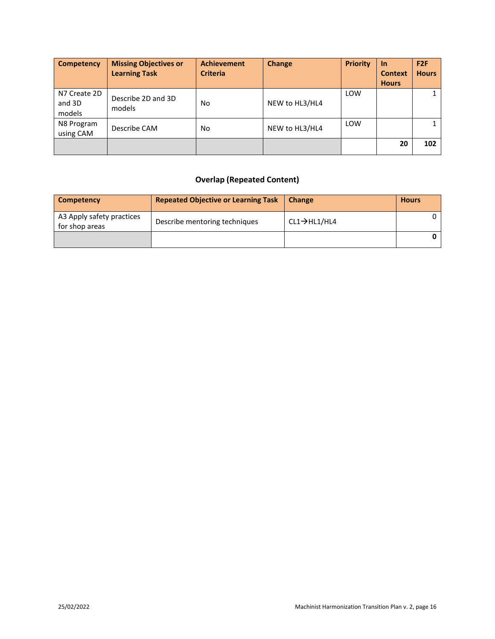| <b>Competency</b>                | <b>Missing Objectives or</b><br><b>Learning Task</b> | <b>Achievement</b><br><b>Criteria</b> | <b>Change</b>  | <b>Priority</b> | -In<br><b>Context</b><br><b>Hours</b> | F2F<br><b>Hours</b> |
|----------------------------------|------------------------------------------------------|---------------------------------------|----------------|-----------------|---------------------------------------|---------------------|
| N7 Create 2D<br>and 3D<br>models | Describe 2D and 3D<br>models                         | No                                    | NEW to HL3/HL4 | LOW             |                                       |                     |
| N8 Program<br>using CAM          | Describe CAM                                         | No                                    | NEW to HL3/HL4 | LOW             |                                       |                     |
|                                  |                                                      |                                       |                |                 | 20                                    | 102                 |

#### **Overlap (Repeated Content)**

| Competency                                  | <b>Repeated Objective or Learning Task</b> | <b>Change</b>             | <b>Hours</b> |
|---------------------------------------------|--------------------------------------------|---------------------------|--------------|
| A3 Apply safety practices<br>for shop areas | Describe mentoring techniques              | $CL1 \rightarrow H11/H14$ |              |
|                                             |                                            |                           |              |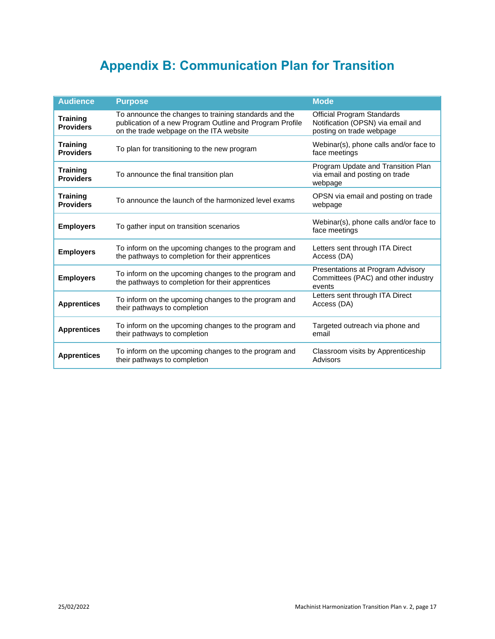## **Appendix B: Communication Plan for Transition**

<span id="page-16-0"></span>

| <b>Audience</b>                     | <b>Purpose</b>                                                                                                                                               | <b>Mode</b>                                                                                        |  |
|-------------------------------------|--------------------------------------------------------------------------------------------------------------------------------------------------------------|----------------------------------------------------------------------------------------------------|--|
| <b>Training</b><br><b>Providers</b> | To announce the changes to training standards and the<br>publication of a new Program Outline and Program Profile<br>on the trade webpage on the ITA website | <b>Official Program Standards</b><br>Notification (OPSN) via email and<br>posting on trade webpage |  |
| <b>Training</b><br><b>Providers</b> | To plan for transitioning to the new program                                                                                                                 | Webinar(s), phone calls and/or face to<br>face meetings                                            |  |
| <b>Training</b><br><b>Providers</b> | To announce the final transition plan                                                                                                                        | Program Update and Transition Plan<br>via email and posting on trade<br>webpage                    |  |
| <b>Training</b><br><b>Providers</b> | To announce the launch of the harmonized level exams                                                                                                         | OPSN via email and posting on trade<br>webpage                                                     |  |
| <b>Employers</b>                    | To gather input on transition scenarios                                                                                                                      | Webinar(s), phone calls and/or face to<br>face meetings                                            |  |
| <b>Employers</b>                    | To inform on the upcoming changes to the program and<br>the pathways to completion for their apprentices                                                     | Letters sent through ITA Direct<br>Access (DA)                                                     |  |
| <b>Employers</b>                    | To inform on the upcoming changes to the program and<br>the pathways to completion for their apprentices                                                     | Presentations at Program Advisory<br>Committees (PAC) and other industry<br>events                 |  |
| <b>Apprentices</b>                  | To inform on the upcoming changes to the program and<br>their pathways to completion                                                                         | Letters sent through ITA Direct<br>Access (DA)                                                     |  |
| <b>Apprentices</b>                  | To inform on the upcoming changes to the program and<br>their pathways to completion                                                                         | Targeted outreach via phone and<br>email                                                           |  |
| <b>Apprentices</b>                  | To inform on the upcoming changes to the program and<br>their pathways to completion                                                                         | Classroom visits by Apprenticeship<br>Advisors                                                     |  |